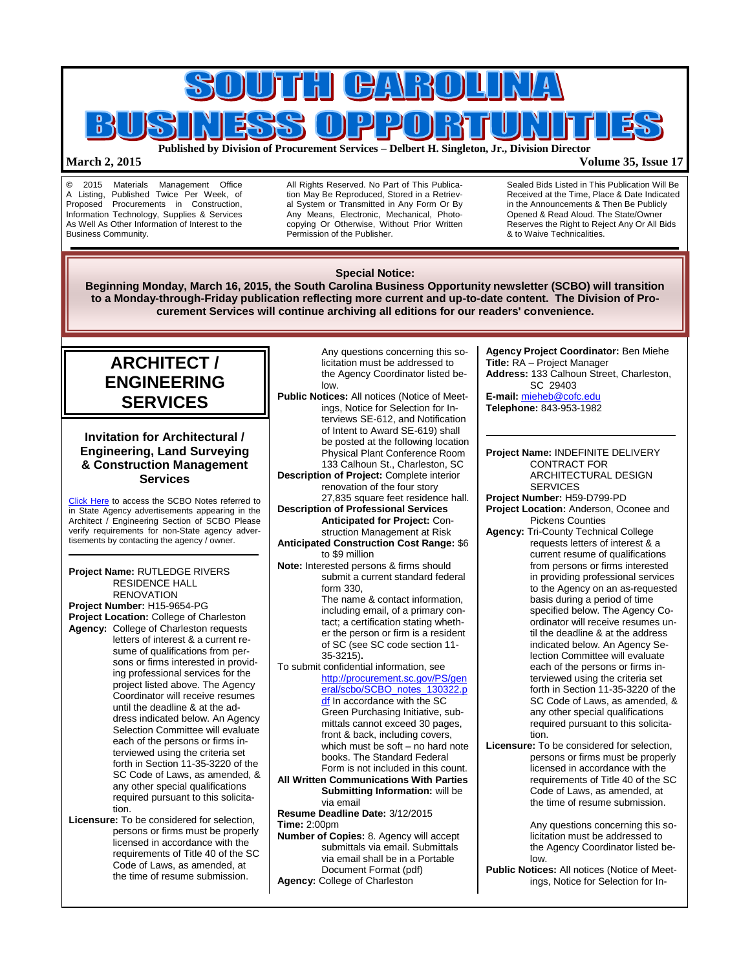

## **March 2, 2015 Volume 35, Issue 17**

**©** 2015 Materials Management Office Published Twice Per Week, of Proposed Procurements in Construction, Information Technology, Supplies & Services As Well As Other Information of Interest to the Business Community.

All Rights Reserved. No Part of This Publication May Be Reproduced, Stored in a Retrieval System or Transmitted in Any Form Or By Any Means, Electronic, Mechanical, Photocopying Or Otherwise, Without Prior Written Permission of the Publisher.

Sealed Bids Listed in This Publication Will Be Received at the Time, Place & Date Indicated in the Announcements & Then Be Publicly Opened & Read Aloud. The State/Owner Reserves the Right to Reject Any Or All Bids & to Waive Technicalities.

#### **ARCHITECT / ENGINEERING SERVICES Invitation for Architectural / Engineering, Land Surveying & Construction Management Services** [Click Here](http://www.mmo.sc.gov/PS/general/scbo/SCBO_Notes_060512.pdf) to access the SCBO Notes referred to in State Agency advertisements appearing in the Architect / Engineering Section of SCBO Please verify requirements for non-State agency advertisements by contacting the agency / owner. **Project Name:** RUTLEDGE RIVERS RESIDENCE HALL **RENOVATION Project Number:** H15-9654-PG **Project Location:** College of Charleston **Agency:** College of Charleston requests letters of interest & a current resume of qualifications from persons or firms interested in providing professional services for the project listed above. The Agency Coordinator will receive resumes until the deadline & at the address indicated below. An Agency Selection Committee will evaluate each of the persons or firms interviewed using the criteria set forth in Section 11-35-3220 of the SC Code of Laws, as amended, & any other special qualifications required pursuant to this solicitation. **Licensure:** To be considered for selection, Any questions concerning this solicitation must be addressed to the Agency Coordinator listed below. **Public Notices:** All notices (Notice of Meetings, Notice for Selection for Interviews SE-612, and Notification of Intent to Award SE-619) shall be posted at the following location Physical Plant Conference Room 133 Calhoun St., Charleston, SC **Description of Project:** Complete interior renovation of the four story 27,835 square feet residence hall. **Description of Professional Services Anticipated for Project:** Construction Management at Risk **Anticipated Construction Cost Range:** \$6 to \$9 million **Note:** Interested persons & firms should submit a current standard federal form 330, The name & contact information, including email, of a primary contact; a certification stating whether the person or firm is a resident of SC (see SC code section 11- 35-3215)**.** To submit confidential information, see [http://procurement.sc.gov/PS/gen](http://procurement.sc.gov/PS/general/scbo/SCBO_notes_130322.pdf) [eral/scbo/SCBO\\_notes\\_130322.p](http://procurement.sc.gov/PS/general/scbo/SCBO_notes_130322.pdf) of In accordance with the SC Green Purchasing Initiative, submittals cannot exceed 30 pages, front & back, including covers, which must be soft – no hard note books. The Standard Federal Form is not included in this count. **All Written Communications With Parties Submitting Information:** will be via email **Resume Deadline Date:** 3/12/2015 **Time:** 2:00pm **Agency Project Coordinator:** Ben Miehe **Title:** RA – Project Manager **Address:** 133 Calhoun Street, Charleston, SC 29403 **E-mail:** [mieheb@cofc.edu](mailto:mieheb@cofc.edu) **Telephone:** 843-953-1982 **Project Name:** INDEFINITE DELIVERY CONTRACT FOR **SERVICES Project Number:** H59-D799-PD Pickens Counties **Agency:** Tri-County Technical College basis during a period of time specified below. The Agency Coordinator will receive resumes until the deadline & at the address indicated below. An Agency Selection Committee will evaluate each of the persons or firms interviewed using the criteria set forth in Section 11-35-3220 of the SC Code of Laws, as amended, & any other special qualifications required pursuant to this solicitation. **Licensure:** To be considered for selection, persons or firms must be properly licensed in accordance with the requirements of Title 40 of the SC Code of Laws, as amended, at the time of resume submission. Any questions concerning this so-**Special Notice: Beginning Monday, March 16, 2015, the South Carolina Business Opportunity newsletter (SCBO) will transition to a Monday-through-Friday publication reflecting more current and up-to-date content. The Division of Procurement Services will continue archiving all editions for our readers' convenience.**

persons or firms must be properly licensed in accordance with the requirements of Title 40 of the SC Code of Laws, as amended, at the time of resume submission.

**Number of Copies:** 8. Agency will accept submittals via email. Submittals via email shall be in a Portable Document Format (pdf)

Agency: College of Charleston

ARCHITECTURAL DESIGN **Project Location:** Anderson, Oconee and requests letters of interest & a current resume of qualifications from persons or firms interested in providing professional services to the Agency on an as-requested

> licitation must be addressed to the Agency Coordinator listed be-

**Public Notices:** All notices (Notice of Meetings, Notice for Selection for In-

low.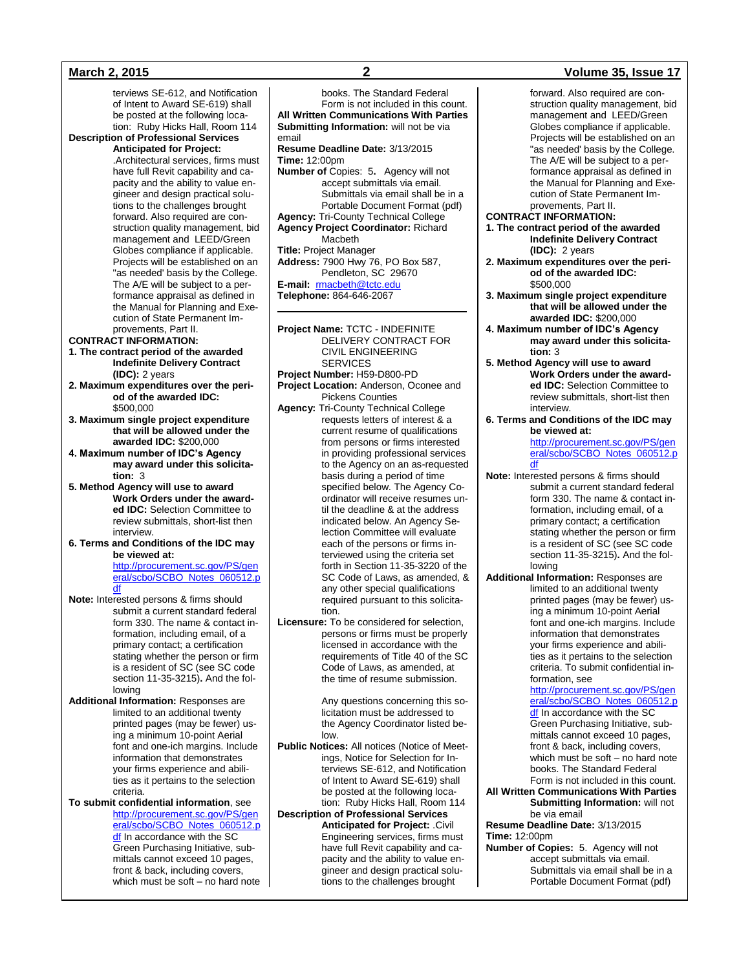terviews SE-612, and Notification of Intent to Award SE-619) shall be posted at the following location: Ruby Hicks Hall, Room 114

**Description of Professional Services** 

# **Anticipated for Project:**

.Architectural services, firms must have full Revit capability and capacity and the ability to value engineer and design practical solutions to the challenges brought forward. Also required are construction quality management, bid management and LEED/Green Globes compliance if applicable. Projects will be established on an "as needed' basis by the College. The A/E will be subject to a performance appraisal as defined in the Manual for Planning and Execution of State Permanent Improvements, Part II.

### **CONTRACT INFORMATION:**

- **1. The contract period of the awarded Indefinite Delivery Contract (IDC):** 2 years
- **2. Maximum expenditures over the period of the awarded IDC:** \$500,000
- **3. Maximum single project expenditure that will be allowed under the awarded IDC:** \$200,000
- **4. Maximum number of IDC's Agency may award under this solicitation:** 3
- **5. Method Agency will use to award Work Orders under the awarded IDC:** Selection Committee to review submittals, short-list then interview.
- **6. Terms and Conditions of the IDC may be viewed at:** [http://procurement.sc.gov/PS/gen](http://procurement.sc.gov/PS/general/scbo/SCBO_Notes_060512.pdf) [eral/scbo/SCBO\\_Notes\\_060512.p](http://procurement.sc.gov/PS/general/scbo/SCBO_Notes_060512.pdf) <u>[df](http://procurement.sc.gov/PS/general/scbo/SCBO_Notes_060512.pdf)</u>
- **Note:** Interested persons & firms should submit a current standard federal form 330. The name & contact information, including email, of a primary contact; a certification stating whether the person or firm is a resident of SC (see SC code section 11-35-3215)**.** And the following
- **Additional Information:** Responses are limited to an additional twenty printed pages (may be fewer) using a minimum 10-point Aerial font and one-ich margins. Include information that demonstrates your firms experience and abilities as it pertains to the selection criteria.

#### **To submit confidential information**, see [http://procurement.sc.gov/PS/gen](http://procurement.sc.gov/PS/general/scbo/SCBO_Notes_060512.pdf) [eral/scbo/SCBO\\_Notes\\_060512.p](http://procurement.sc.gov/PS/general/scbo/SCBO_Notes_060512.pdf) [df](http://procurement.sc.gov/PS/general/scbo/SCBO_Notes_060512.pdf) In accordance with the SC Green Purchasing Initiative, submittals cannot exceed 10 pages, front & back, including covers, which must be soft – no hard note

**All Written Communications With Parties Submitting Information:** will not be via email **Resume Deadline Date:** 3/13/2015 **Time:** 12:00pm **Number of** Copies: 5**.** Agency will not accept submittals via email. Submittals via email shall be in a Portable Document Format (pdf) **Agency:** Tri-County Technical College **Agency Project Coordinator:** Richard Macbeth **Title:** Project Manager **Address:** 7900 Hwy 76, PO Box 587, Pendleton, SC 29670 **E-mail:** [rmacbeth@tctc.edu](mailto:rmacbeth@tctc.edu) **Telephone:** 864-646-2067

**Project Name:** TCTC - INDEFINITE DELIVERY CONTRACT FOR CIVIL ENGINEERING

- SERVICES **Project Number:** H59-D800-PD
- **Project Location:** Anderson, Oconee and Pickens Counties
- **Agency:** Tri-County Technical College requests letters of interest & a current resume of qualifications from persons or firms interested in providing professional services to the Agency on an as-requested basis during a period of time specified below. The Agency Coordinator will receive resumes until the deadline & at the address indicated below. An Agency Selection Committee will evaluate each of the persons or firms interviewed using the criteria set forth in Section 11-35-3220 of the SC Code of Laws, as amended, & any other special qualifications required pursuant to this solicitation.
- **Licensure:** To be considered for selection, persons or firms must be properly licensed in accordance with the requirements of Title 40 of the SC Code of Laws, as amended, at the time of resume submission.

Any questions concerning this solicitation must be addressed to the Agency Coordinator listed below.

- **Public Notices:** All notices (Notice of Meetings, Notice for Selection for Interviews SE-612, and Notification of Intent to Award SE-619) shall be posted at the following location: Ruby Hicks Hall, Room 114
- **Description of Professional Services Anticipated for Project:** .Civil Engineering services, firms must have full Revit capability and capacity and the ability to value engineer and design practical solutions to the challenges brought

## **March 2, 2015 2 Volume 35, Issue 17**

forward. Also required are construction quality management, bid management and LEED/Green Globes compliance if applicable. Projects will be established on an "as needed' basis by the College. The A/E will be subject to a performance appraisal as defined in the Manual for Planning and Execution of State Permanent Improvements, Part II.

- **CONTRACT INFORMATION:**
- **1. The contract period of the awarded Indefinite Delivery Contract (IDC):** 2 years
- **2. Maximum expenditures over the period of the awarded IDC:** \$500,000
- **3. Maximum single project expenditure that will be allowed under the awarded IDC:** \$200,000
- **4. Maximum number of IDC's Agency may award under this solicitation:** 3
- **5. Method Agency will use to award Work Orders under the awarded IDC:** Selection Committee to review submittals, short-list then interview.
- **6. Terms and Conditions of the IDC may be viewed at:**

[http://procurement.sc.gov/PS/gen](http://procurement.sc.gov/PS/general/scbo/SCBO_Notes_060512.pdf) [eral/scbo/SCBO\\_Notes\\_060512.p](http://procurement.sc.gov/PS/general/scbo/SCBO_Notes_060512.pdf) [df](http://procurement.sc.gov/PS/general/scbo/SCBO_Notes_060512.pdf)

**Note:** Interested persons & firms should submit a current standard federal form 330. The name & contact information, including email, of a primary contact; a certification stating whether the person or firm is a resident of SC (see SC code section 11-35-3215)**.** And the following

**Additional Information:** Responses are limited to an additional twenty printed pages (may be fewer) using a minimum 10-point Aerial font and one-ich margins. Include information that demonstrates your firms experience and abilities as it pertains to the selection criteria. To submit confidential information, see [http://procurement.sc.gov/PS/gen](http://procurement.sc.gov/PS/general/scbo/SCBO_Notes_060512.pdf)

[eral/scbo/SCBO\\_Notes\\_060512.p](http://procurement.sc.gov/PS/general/scbo/SCBO_Notes_060512.pdf) of In accordance with the SC Green Purchasing Initiative, submittals cannot exceed 10 pages, front & back, including covers, which must be soft – no hard note books. The Standard Federal Form is not included in this count.

#### **All Written Communications With Parties Submitting Information:** will not be via email

**Resume Deadline Date:** 3/13/2015 **Time:** 12:00pm

**Number of Copies:** 5. Agency will not accept submittals via email. Submittals via email shall be in a Portable Document Format (pdf)

books. The Standard Federal Form is not included in this count.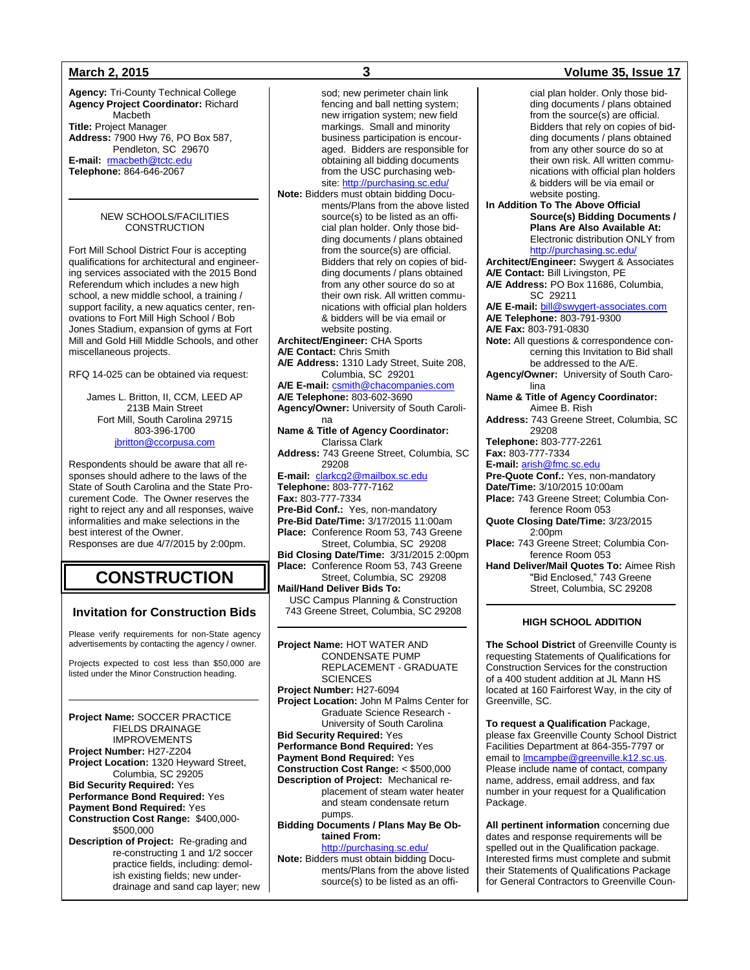**Agency:** Tri-County Technical College **Agency Project Coordinator:** Richard Macbeth **Title:** Project Manager **Address:** 7900 Hwy 76, PO Box 587, Pendleton, SC 29670 **E-mail:** [rmacbeth@tctc.edu](mailto:rmacbeth@tctc.edu) **Telephone:** 864-646-2067

### NEW SCHOOLS/FACILITIES **CONSTRUCTION**

Fort Mill School District Four is accepting qualifications for architectural and engineering services associated with the 2015 Bond Referendum which includes a new high school, a new middle school, a training / support facility, a new aquatics center, renovations to Fort Mill High School / Bob Jones Stadium, expansion of gyms at Fort Mill and Gold Hill Middle Schools, and other miscellaneous projects.

RFQ 14-025 can be obtained via request:

James L. Britton, II, CCM, LEED AP 213B Main Street Fort Mill, South Carolina 29715 803-396-1700 [jbritton@ccorpusa.com](mailto:jbritton@ccorpusa.com)

Respondents should be aware that all responses should adhere to the laws of the State of South Carolina and the State Procurement Code. The Owner reserves the right to reject any and all responses, waive informalities and make selections in the best interest of the Owner.

Responses are due 4/7/2015 by 2:00pm.

# **CONSTRUCTION**

# **Invitation for Construction Bids**

Please verify requirements for non-State agency advertisements by contacting the agency / owner.

Projects expected to cost less than \$50,000 are listed under the Minor Construction heading.

#### **Project Name:** SOCCER PRACTICE FIELDS DRAINAGE IMPROVEMENTS **Project Number:** H27-Z204 **Project Location:** 1320 Heyward Street, Columbia, SC 29205

**Bid Security Required:** Yes **Performance Bond Required:** Yes **Payment Bond Required:** Yes **Construction Cost Range:** \$400,000- \$500,000

**Description of Project:** Re-grading and re-constructing 1 and 1/2 soccer practice fields, including: demolish existing fields; new underdrainage and sand cap layer; new

sod; new perimeter chain link fencing and ball netting system; new irrigation system; new field markings. Small and minority business participation is encouraged. Bidders are responsible for obtaining all bidding documents from the USC purchasing web-site[: http://purchasing.sc.edu/](http://purchasing.sc.edu/) **Note:** Bidders must obtain bidding Documents/Plans from the above listed source(s) to be listed as an official plan holder. Only those bidding documents / plans obtained from the source(s) are official. Bidders that rely on copies of bidding documents / plans obtained from any other source do so at their own risk. All written communications with official plan holders & bidders will be via email or website posting. **Architect/Engineer:** CHA Sports **A/E Contact:** Chris Smith **A/E Address:** 1310 Lady Street, Suite 208, Columbia, SC 29201 **A/E E-mail:** [csmith@chacompanies.com](mailto:csmith@chacompanies.com) **A/E Telephone:** 803-602-3690 **Agency/Owner:** University of South Carolina **Name & Title of Agency Coordinator:** Clarissa Clark **Address:** 743 Greene Street, Columbia, SC 29208 **E-mail:** [clarkcg2@mailbox.sc.edu](mailto:clarkcg2@mailbox.sc.edu) **Telephone:** 803-777-7162 **Fax:** 803-777-7334 **Pre-Bid Conf.:** Yes, non-mandatory **Pre-Bid Date/Time:** 3/17/2015 11:00am **Place:** Conference Room 53, 743 Greene Street, Columbia, SC 29208 **Bid Closing Date/Time:** 3/31/2015 2:00pm **Place:** Conference Room 53, 743 Greene Street, Columbia, SC 29208 **Mail/Hand Deliver Bids To:** USC Campus Planning & Construction 743 Greene Street, Columbia, SC 29208

**Project Name:** HOT WATER AND CONDENSATE PUMP REPLACEMENT - GRADUATE **SCIENCES Project Number:** H27-6094 **Project Location:** John M Palms Center for Graduate Science Research - University of South Carolina **Bid Security Required:** Yes **Performance Bond Required:** Yes **Payment Bond Required:** Yes **Construction Cost Range:** < \$500,000 **Description of Project:** Mechanical replacement of steam water heater and steam condensate return pumps. **Bidding Documents / Plans May Be Obtained From:** <http://purchasing.sc.edu/> **Note:** Bidders must obtain bidding Docu-

ments/Plans from the above listed source(s) to be listed as an offi-

## **March 2, 2015 3 Volume 35, Issue 17**

cial plan holder. Only those bidding documents / plans obtained from the source(s) are official. Bidders that rely on copies of bidding documents / plans obtained from any other source do so at their own risk. All written communications with official plan holders & bidders will be via email or website posting. **In Addition To The Above Official Source(s) Bidding Documents / Plans Are Also Available At:** Electronic distribution ONLY from <http://purchasing.sc.edu/> **Architect/Engineer:** Swygert & Associates **A/E Contact:** Bill Livingston, PE **A/E Address:** PO Box 11686, Columbia, SC 29211 **A/E E-mail:** [bill@swygert-associates.com](mailto:bill@swygert-associates.com) **A/E Telephone:** 803-791-9300 **A/E Fax:** 803-791-0830 **Note:** All questions & correspondence concerning this Invitation to Bid shall be addressed to the A/E. **Agency/Owner:** University of South Carolina **Name & Title of Agency Coordinator:** Aimee B. Rish **Address:** 743 Greene Street, Columbia, SC 29208 **Telephone:** 803-777-2261 **Fax:** 803-777-7334 **E-mail:** [arish@fmc.sc.edu](mailto:arish@fmc.sc.edu) **Pre-Quote Conf.:** Yes, non-mandatory **Date/Time:** 3/10/2015 10:00am **Place:** 743 Greene Street; Columbia Conference Room 053 **Quote Closing Date/Time:** 3/23/2015 2:00pm **Place:** 743 Greene Street; Columbia Conference Room 053 **Hand Deliver/Mail Quotes To:** Aimee Rish "Bid Enclosed," 743 Greene Street, Columbia, SC 29208

## **HIGH SCHOOL ADDITION**

**The School District** of Greenville County is requesting Statements of Qualifications for Construction Services for the construction of a 400 student addition at JL Mann HS located at 160 Fairforest Way, in the city of Greenville, SC.

**To request a Qualification** Package, please fax Greenville County School District Facilities Department at 864-355-7797 or email to **Imcampbe@greenville.k12.sc.us**. Please include name of contact, company name, address, email address, and fax number in your request for a Qualification Package.

**All pertinent information** concerning due dates and response requirements will be spelled out in the Qualification package. Interested firms must complete and submit their Statements of Qualifications Package for General Contractors to Greenville Coun-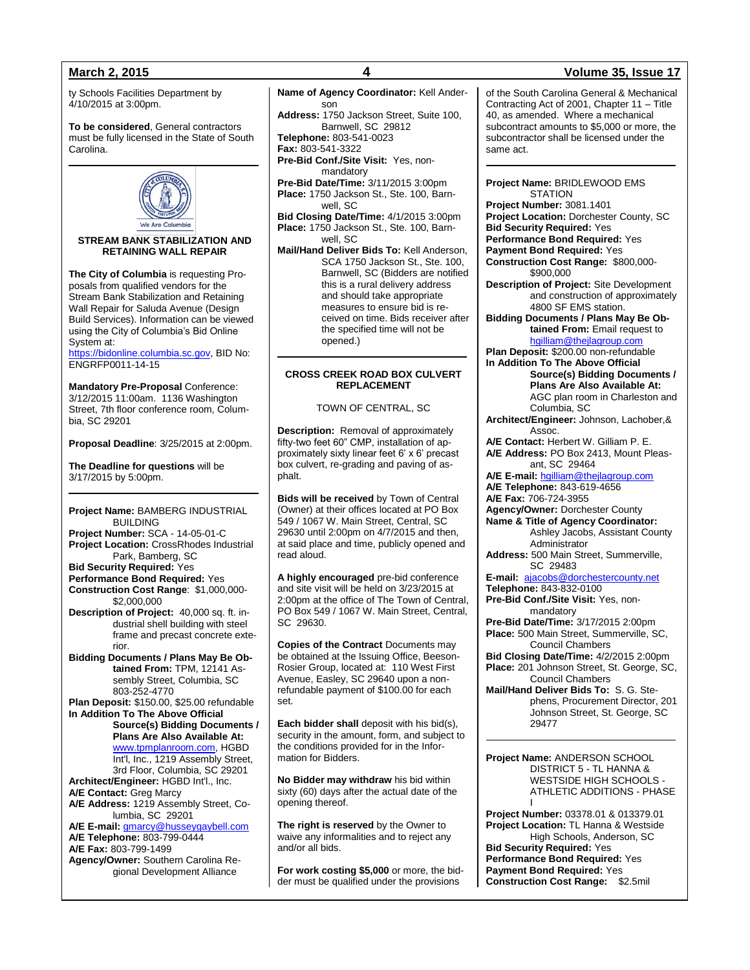ty Schools Facilities Department by 4/10/2015 at 3:00pm.

**To be considered**, General contractors must be fully licensed in the State of South Carolina.



**STREAM BANK STABILIZATION AND RETAINING WALL REPAIR**

**The City of Columbia** is requesting Proposals from qualified vendors for the Stream Bank Stabilization and Retaining Wall Repair for Saluda Avenue (Design Build Services). Information can be viewed using the City of Columbia's Bid Online System at:

[https://bidonline.columbia.sc.gov,](https://bidonline.columbia.sc.gov/) BID No: ENGRFP0011-14-15

**Mandatory Pre-Proposal** Conference: 3/12/2015 11:00am. 1136 Washington Street, 7th floor conference room, Columbia, SC 29201

**Proposal Deadline**: 3/25/2015 at 2:00pm.

**The Deadline for questions** will be 3/17/2015 by 5:00pm.

**Project Name:** BAMBERG INDUSTRIAL BUILDING **Project Number:** SCA - 14-05-01-C **Project Location:** CrossRhodes Industrial Park, Bamberg, SC

**Bid Security Required:** Yes

**Performance Bond Required:** Yes **Construction Cost Range**: \$1,000,000- \$2,000,000

**Description of Project:** 40,000 sq. ft. industrial shell building with steel frame and precast concrete exterior.

**Bidding Documents / Plans May Be Obtained From:** TPM, 12141 Assembly Street, Columbia, SC 803-252-4770

**Plan Deposit:** \$150.00, \$25.00 refundable **In Addition To The Above Official Source(s) Bidding Documents / Plans Are Also Available At:** [www.tpmplanroom.com,](http://www.tpmplanroom.com/) HGBD

Int'l, Inc., 1219 Assembly Street, 3rd Floor, Columbia, SC 29201 **Architect/Engineer:** HGBD Int'l., Inc.

**A/E Contact:** Greg Marcy **A/E Address:** 1219 Assembly Street, Columbia, SC 29201

**A/E E-mail:** [gmarcy@husseygaybell.com](mailto:gmarcy@husseygaybell.com) **A/E Telephone:** 803-799-0444 **A/E Fax:** 803-799-1499

**Agency/Owner:** Southern Carolina Regional Development Alliance

**Name of Agency Coordinator:** Kell Anderson **Address:** 1750 Jackson Street, Suite 100, Barnwell, SC 29812 **Telephone:** 803-541-0023 **Fax:** 803-541-3322 **Pre-Bid Conf./Site Visit:** Yes, nonmandatory **Pre-Bid Date/Time:** 3/11/2015 3:00pm **Place:** 1750 Jackson St., Ste. 100, Barnwell, SC **Bid Closing Date/Time:** 4/1/2015 3:00pm **Place:** 1750 Jackson St., Ste. 100, Barnwell, SC **Mail/Hand Deliver Bids To:** Kell Anderson, SCA 1750 Jackson St., Ste. 100, Barnwell, SC (Bidders are notified this is a rural delivery address and should take appropriate measures to ensure bid is received on time. Bids receiver after the specified time will not be opened.) **CROSS CREEK ROAD BOX CULVERT REPLACEMENT**

TOWN OF CENTRAL, SC

**Description:** Removal of approximately fifty-two feet 60" CMP, installation of approximately sixty linear feet 6' x 6' precast box culvert, re-grading and paving of asphalt.

**Bids will be received** by Town of Central (Owner) at their offices located at PO Box 549 / 1067 W. Main Street, Central, SC 29630 until 2:00pm on 4/7/2015 and then, at said place and time, publicly opened and read aloud.

**A highly encouraged** pre-bid conference and site visit will be held on 3/23/2015 at 2:00pm at the office of The Town of Central, PO Box 549 / 1067 W. Main Street, Central, SC 29630.

**Copies of the Contract** Documents may be obtained at the Issuing Office, Beeson-Rosier Group, located at: 110 West First Avenue, Easley, SC 29640 upon a nonrefundable payment of \$100.00 for each set.

**Each bidder shall** deposit with his bid(s), security in the amount, form, and subject to the conditions provided for in the Information for Bidders.

**No Bidder may withdraw** his bid within sixty (60) days after the actual date of the opening thereof.

**The right is reserved** by the Owner to waive any informalities and to reject any and/or all bids.

**For work costing \$5,000** or more, the bidder must be qualified under the provisions

## **March 2, 2015 4 Volume 35, Issue 17**

of the South Carolina General & Mechanical Contracting Act of 2001, Chapter 11 – Title 40, as amended. Where a mechanical subcontract amounts to \$5,000 or more, the subcontractor shall be licensed under the same act.

**Project Name:** BRIDLEWOOD EMS **STATION** 

**Project Number:** 3081.1401 **Project Location:** Dorchester County, SC **Bid Security Required:** Yes

**Performance Bond Required:** Yes

**Payment Bond Required:** Yes

**Construction Cost Range:** \$800,000- \$900,000

**Description of Project:** Site Development and construction of approximately 4800 SF EMS station.

**Bidding Documents / Plans May Be Obtained From:** Email request to

[hgilliam@thejlagroup.com](mailto:hgilliam@thejlagroup.com) **Plan Deposit:** \$200.00 non-refundable

**In Addition To The Above Official** 

**Source(s) Bidding Documents / Plans Are Also Available At:** AGC plan room in Charleston and Columbia, SC

**Architect/Engineer:** Johnson, Lachober,& Assoc.

**A/E Contact:** Herbert W. Gilliam P. E. **A/E Address:** PO Box 2413, Mount Pleasant, SC 29464

**A/E E-mail:** [hgilliam@thejlagroup.com](mailto:hgilliam@thejlagroup.com) **A/E Telephone:** 843-619-4656

**A/E Fax:** 706-724-3955

**Agency/Owner:** Dorchester County **Name & Title of Agency Coordinator:** Ashley Jacobs, Assistant County Administrator

**Address:** 500 Main Street, Summerville, SC 29483

**E-mail:** [ajacobs@dorchestercounty.net](mailto:ajacobs@dorchestercounty.net) **Telephone:** 843-832-0100

**Pre-Bid Conf./Site Visit:** Yes, nonmandatory

**Pre-Bid Date/Time:** 3/17/2015 2:00pm **Place:** 500 Main Street, Summerville, SC,

Council Chambers **Bid Closing Date/Time:** 4/2/2015 2:00pm **Place:** 201 Johnson Street, St. George, SC,

Council Chambers **Mail/Hand Deliver Bids To:** S. G. Stephens, Procurement Director, 201 Johnson Street, St. George, SC 29477

**Project Name:** ANDERSON SCHOOL DISTRICT 5 - TL HANNA & WESTSIDE HIGH SCHOOLS - ATHLETIC ADDITIONS - PHASE I

**Project Number:** 03378.01 & 013379.01 **Project Location:** TL Hanna & Westside High Schools, Anderson, SC **Bid Security Required:** Yes **Performance Bond Required:** Yes **Payment Bond Required:** Yes **Construction Cost Range:** \$2.5mil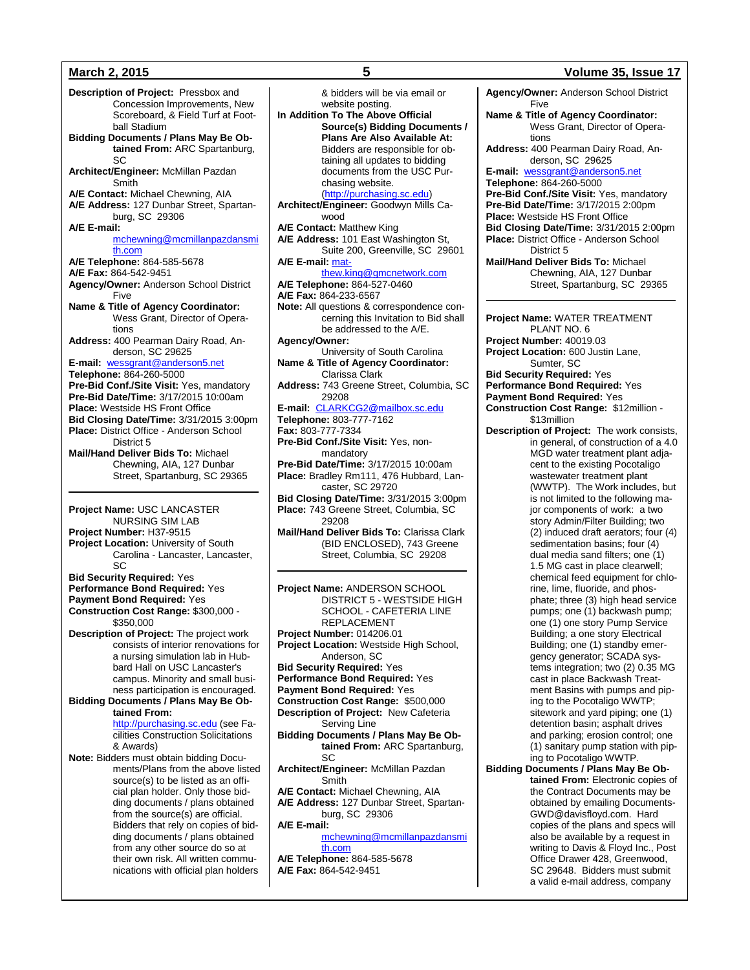**Description of Project:** Pressbox and Concession Improvements, New Scoreboard, & Field Turf at Football Stadium **Bidding Documents / Plans May Be Obtained From:** ARC Spartanburg, SC **Architect/Engineer:** McMillan Pazdan Smith **A/E Contact:** Michael Chewning, AIA **A/E Address:** 127 Dunbar Street, Spartanburg, SC 29306 **A/E E-mail:** [mchewning@mcmillanpazdansmi](mailto:mchewning@mcmillanpazdansmith.com) [th.com](mailto:mchewning@mcmillanpazdansmith.com) **A/E Telephone:** 864-585-5678 **A/E Fax:** 864-542-9451 **Agency/Owner:** Anderson School District Five **Name & Title of Agency Coordinator:** Wess Grant, Director of Operations **Address:** 400 Pearman Dairy Road, Anderson, SC 29625 **E-mail:** [wessgrant@anderson5.net](mailto:wessgrant@anderson5.net) **Telephone:** 864-260-5000 **Pre-Bid Conf./Site Visit:** Yes, mandatory **Pre-Bid Date/Time:** 3/17/2015 10:00am **Place:** Westside HS Front Office **Bid Closing Date/Time:** 3/31/2015 3:00pm **Place:** District Office - Anderson School District 5 **Mail/Hand Deliver Bids To:** Michael Chewning, AIA, 127 Dunbar Street, Spartanburg, SC 29365 **Project Name:** USC LANCASTER

NURSING SIM LAB **Project Number:** H37-9515 **Project Location:** University of South Carolina - Lancaster, Lancaster, SC **Bid Security Required:** Yes

**Performance Bond Required:** Yes **Payment Bond Required:** Yes **Construction Cost Range:** \$300,000 - \$350,000

**Description of Project:** The project work consists of interior renovations for a nursing simulation lab in Hubbard Hall on USC Lancaster's campus. Minority and small business participation is encouraged.

**Bidding Documents / Plans May Be Obtained From:**

[http://purchasing.sc.edu](http://purchasing.sc.edu/) (see Facilities Construction Solicitations & Awards)

**Note:** Bidders must obtain bidding Documents/Plans from the above listed source(s) to be listed as an official plan holder. Only those bidding documents / plans obtained from the source(s) are official. Bidders that rely on copies of bidding documents / plans obtained from any other source do so at their own risk. All written communications with official plan holders

& bidders will be via email or website posting. **In Addition To The Above Official Source(s) Bidding Documents / Plans Are Also Available At:** Bidders are responsible for obtaining all updates to bidding documents from the USC Purchasing website. [\(http://purchasing.sc.edu\)](http://purchasing.sc.edu/) **Architect/Engineer:** Goodwyn Mills Cawood **A/E Contact:** Matthew King **A/E Address:** 101 East Washington St, Suite 200, Greenville, SC 29601 **A/E E-mail:** [mat](mailto:matthew.king@gmcnetwork.com)[thew.king@gmcnetwork.com](mailto:matthew.king@gmcnetwork.com) **A/E Telephone:** 864-527-0460 **A/E Fax:** 864-233-6567 **Note:** All questions & correspondence concerning this Invitation to Bid shall be addressed to the A/E. **Agency/Owner:** University of South Carolina **Name & Title of Agency Coordinator:** Clarissa Clark **Address:** 743 Greene Street, Columbia, SC 29208 **E-mail:** [CLARKCG2@mailbox.sc.edu](mailto:CLARKCG2@mailbox.sc.edu) **Telephone:** 803-777-7162 **Fax:** 803-777-7334 **Pre-Bid Conf./Site Visit:** Yes, nonmandatory **Pre-Bid Date/Time:** 3/17/2015 10:00am **Place:** Bradley Rm111, 476 Hubbard, Lancaster, SC 29720 **Bid Closing Date/Time:** 3/31/2015 3:00pm **Place:** 743 Greene Street, Columbia, SC 29208 **Mail/Hand Deliver Bids To:** Clarissa Clark (BID ENCLOSED), 743 Greene Street, Columbia, SC 29208 **Project Name:** ANDERSON SCHOOL DISTRICT 5 - WESTSIDE HIGH SCHOOL - CAFETERIA LINE REPLACEMENT **Project Number:** 014206.01 **Project Location:** Westside High School, Anderson, SC **Bid Security Required:** Yes **Performance Bond Required:** Yes **Payment Bond Required:** Yes **Construction Cost Range:** \$500,000 **Description of Project:** New Cafeteria Serving Line **Bidding Documents / Plans May Be Obtained From:** ARC Spartanburg, SC **Architect/Engineer:** McMillan Pazdan Smith **A/E Contact:** Michael Chewning, AIA **A/E Address:** 127 Dunbar Street, Spartanburg, SC 29306 **A/E E-mail:** [mchewning@mcmillanpazdansmi](mailto:mchewning@mcmillanpazdansmith.com) [th.com](mailto:mchewning@mcmillanpazdansmith.com) **A/E Telephone:** 864-585-5678 **A/E Fax:** 864-542-9451

### **March 2, 2015 5 Volume 35, Issue 17**

**Agency/Owner:** Anderson School District Five **Name & Title of Agency Coordinator:**

Wess Grant, Director of Operations **Address:** 400 Pearman Dairy Road, An-

derson, SC 29625

**E-mail:** [wessgrant@anderson5.net](mailto:wessgrant@anderson5.net) **Telephone:** 864-260-5000 **Pre-Bid Conf./Site Visit:** Yes, mandatory **Pre-Bid Date/Time:** 3/17/2015 2:00pm **Place:** Westside HS Front Office **Bid Closing Date/Time:** 3/31/2015 2:00pm **Place:** District Office - Anderson School District 5 **Mail/Hand Deliver Bids To:** Michael Chewning, AIA, 127 Dunbar

Street, Spartanburg, SC 29365

**Project Name:** WATER TREATMENT PLANT NO. 6 **Project Number:** 40019.03 **Project Location:** 600 Justin Lane, Sumter, SC **Bid Security Required:** Yes **Performance Bond Required:** Yes **Payment Bond Required:** Yes **Construction Cost Range:** \$12million - \$13million **Description of Project:** The work consists, in general, of construction of a 4.0 MGD water treatment plant adjacent to the existing Pocotaligo wastewater treatment plant (WWTP). The Work includes, but is not limited to the following major components of work: a two story Admin/Filter Building; two (2) induced draft aerators; four (4) sedimentation basins; four (4) dual media sand filters; one (1) 1.5 MG cast in place clearwell; chemical feed equipment for chlorine, lime, fluoride, and phosphate; three (3) high head service pumps; one (1) backwash pump; one (1) one story Pump Service Building; a one story Electrical Building; one (1) standby emergency generator; SCADA systems integration; two (2) 0.35 MG cast in place Backwash Treatment Basins with pumps and piping to the Pocotaligo WWTP; sitework and yard piping; one (1) detention basin; asphalt drives and parking; erosion control; one (1) sanitary pump station with piping to Pocotaligo WWTP.

**Bidding Documents / Plans May Be Obtained From:** Electronic copies of the Contract Documents may be obtained by emailing Documents-GWD@davisfloyd.com. Hard copies of the plans and specs will also be available by a request in writing to Davis & Floyd Inc., Post Office Drawer 428, Greenwood, SC 29648. Bidders must submit a valid e-mail address, company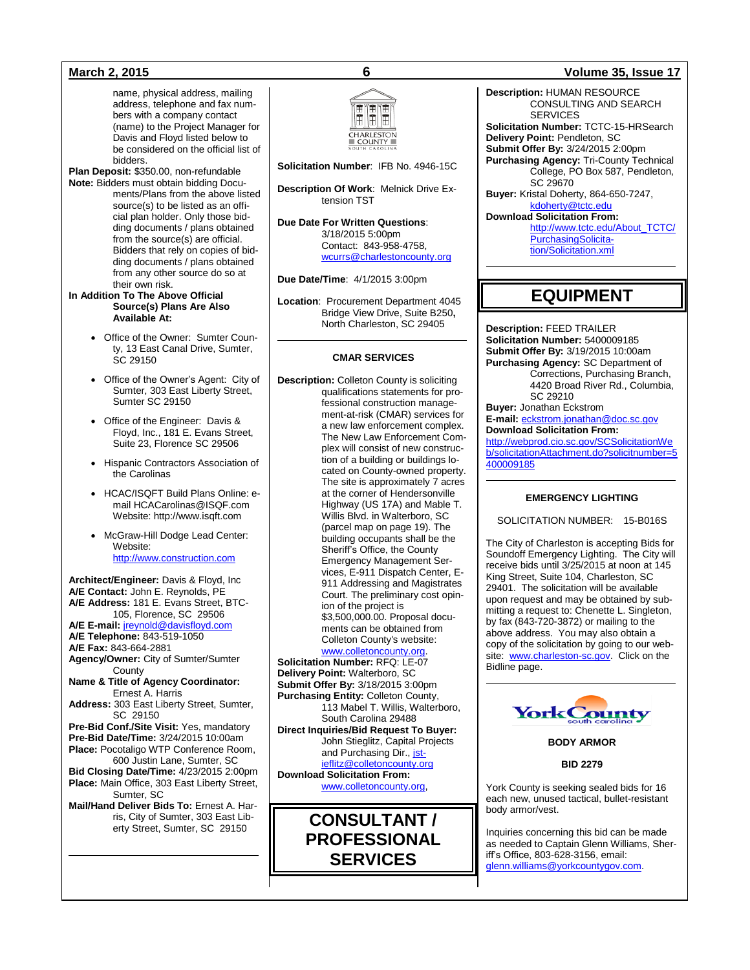name, physical address, mailing address, telephone and fax numbers with a company contact (name) to the Project Manager for Davis and Floyd listed below to be considered on the official list of bidders.

**Plan Deposit:** \$350.00, non-refundable **Note:** Bidders must obtain bidding Documents/Plans from the above listed source(s) to be listed as an official plan holder. Only those bidding documents / plans obtained from the source(s) are official. Bidders that rely on copies of bidding documents / plans obtained from any other source do so at their own risk.

**In Addition To The Above Official Source(s) Plans Are Also Available At:**

- Office of the Owner: Sumter County, 13 East Canal Drive, Sumter, SC 29150
- Office of the Owner's Agent: City of Sumter, 303 East Liberty Street, Sumter SC 29150
- Office of the Engineer: Davis & Floyd, Inc., 181 E. Evans Street, Suite 23, Florence SC 29506
- Hispanic Contractors Association of the Carolinas
- HCAC/ISQFT Build Plans Online: email HCACarolinas@ISQF.com Website: http://www.isqft.com
- McGraw-Hill Dodge Lead Center: Website: [http://www.construction.com](http://www.construction.com/)

**Architect/Engineer:** Davis & Floyd, Inc **A/E Contact:** John E. Reynolds, PE **A/E Address:** 181 E. Evans Street, BTC-105, Florence, SC 29506 **A/E E-mail:** [jreynold@davisfloyd.com](mailto:jreynold@davisfloyd.com) **A/E Telephone:** 843-519-1050 **A/E Fax:** 843-664-2881 **Agency/Owner:** City of Sumter/Sumter **County Name & Title of Agency Coordinator:** Ernest A. Harris **Address:** 303 East Liberty Street, Sumter, SC 29150 **Pre-Bid Conf./Site Visit:** Yes, mandatory **Pre-Bid Date/Time:** 3/24/2015 10:00am **Place:** Pocotaligo WTP Conference Room, 600 Justin Lane, Sumter, SC **Bid Closing Date/Time:** 4/23/2015 2:00pm **Place:** Main Office, 303 East Liberty Street, Sumter, SC **Mail/Hand Deliver Bids To:** Ernest A. Har-

ris, City of Sumter, 303 East Liberty Street, Sumter, SC 29150



**Solicitation Number**: IFB No. 4946-15C

**Description Of Work**: Melnick Drive Extension TST

**Due Date For Written Questions**: 3/18/2015 5:00pm Contact: 843-958-4758, [wcurrs@charlestoncounty.org](mailto:wcurrs@charlestoncounty.org)

**Due Date/Time**: 4/1/2015 3:00pm

**Location**: Procurement Department 4045 Bridge View Drive, Suite B250**,**  North Charleston, SC 29405

### **CMAR SERVICES**

**Description:** Colleton County is soliciting qualifications statements for professional construction management-at-risk (CMAR) services for a new law enforcement complex. The New Law Enforcement Complex will consist of new construc-.<br>tion of a building or buildings located on County-owned property. The site is approximately 7 acres at the corner of Hendersonville Highway (US 17A) and Mable T. Willis Blvd. in Walterboro, SC (parcel map on page 19). The building occupants shall be the Sheriff's Office, the County Emergency Management Services, E-911 Dispatch Center, E-911 Addressing and Magistrates Court. The preliminary cost opinion of the project is \$3,500,000.00. Proposal documents can be obtained from Colleton County's website:

# [www.colletoncounty.org.](http://www.colletoncounty.org/)

**Solicitation Number:** RFQ: LE-07 **Delivery Point:** Walterboro, SC **Submit Offer By:** 3/18/2015 3:00pm **Purchasing Entity:** Colleton County, 113 Mabel T. Willis, Walterboro, South Carolina 29488 **Direct Inquiries/Bid Request To Buyer:** John Stieglitz, Capital Projects and Purchasing Dir.[, jst](mailto:jstieflitz@colletoncounty.org)[ieflitz@colletoncounty.org](mailto:jstieflitz@colletoncounty.org) **Download Solicitation From:** [www.colletoncounty.org,](http://www.colletoncounty.org/)



## **March 2, 2015 6 Volume 35, Issue 17**

**Description:** HUMAN RESOURCE CONSULTING AND SEARCH **SERVICES Solicitation Number:** TCTC-15-HRSearch **Delivery Point:** Pendleton, SC **Submit Offer By:** 3/24/2015 2:00pm **Purchasing Agency:** Tri-County Technical College, PO Box 587, Pendleton, SC 29670 **Buyer:** Kristal Doherty, 864-650-7247, [kdoherty@tctc.edu](mailto:kdoherty@tctc.edu) **Download Solicitation From:** [http://www.tctc.edu/About\\_TCTC/](http://www.tctc.edu/About_TCTC/PurchasingSolicitation/Solicitation.xml) [PurchasingSolicita](http://www.tctc.edu/About_TCTC/PurchasingSolicitation/Solicitation.xml)[tion/Solicitation.xml](http://www.tctc.edu/About_TCTC/PurchasingSolicitation/Solicitation.xml) 

# **EQUIPMENT**

**Description:** FEED TRAILER **Solicitation Number:** 5400009185 **Submit Offer By:** 3/19/2015 10:00am **Purchasing Agency:** SC Department of Corrections, Purchasing Branch, 4420 Broad River Rd., Columbia, SC 29210 **Buyer:** Jonathan Eckstrom **E-mail:** [eckstrom.jonathan@doc.sc.gov](mailto:eckstrom.jonathan@doc.sc.gov) **Download Solicitation From:** [http://webprod.cio.sc.gov/SCSolicitationWe](http://webprod.cio.sc.gov/SCSolicitationWeb/solicitationAttachment.do?solicitnumber=5400009185)

[b/solicitationAttachment.do?solicitnumber=5](http://webprod.cio.sc.gov/SCSolicitationWeb/solicitationAttachment.do?solicitnumber=5400009185) [400009185](http://webprod.cio.sc.gov/SCSolicitationWeb/solicitationAttachment.do?solicitnumber=5400009185)

### **EMERGENCY LIGHTING**

SOLICITATION NUMBER: 15-B016S

The City of Charleston is accepting Bids for Soundoff Emergency Lighting. The City will receive bids until 3/25/2015 at noon at 145 King Street, Suite 104, Charleston, SC 29401. The solicitation will be available upon request and may be obtained by submitting a request to: Chenette L. Singleton, by fax (843-720-3872) or mailing to the above address. You may also obtain a copy of the solicitation by going to our website: [www.charleston-sc.gov.](http://www.charleston-sc.gov/) Click on the Bidline page.



**BODY ARMOR**

**BID 2279**

York County is seeking sealed bids for 16 each new, unused tactical, bullet-resistant body armor/vest.

Inquiries concerning this bid can be made as needed to Captain Glenn Williams, Sheriff's Office, 803-628-3156, email: [glenn.williams@yorkcountygov.com.](mailto:glenn.williams@yorkcountygov.com)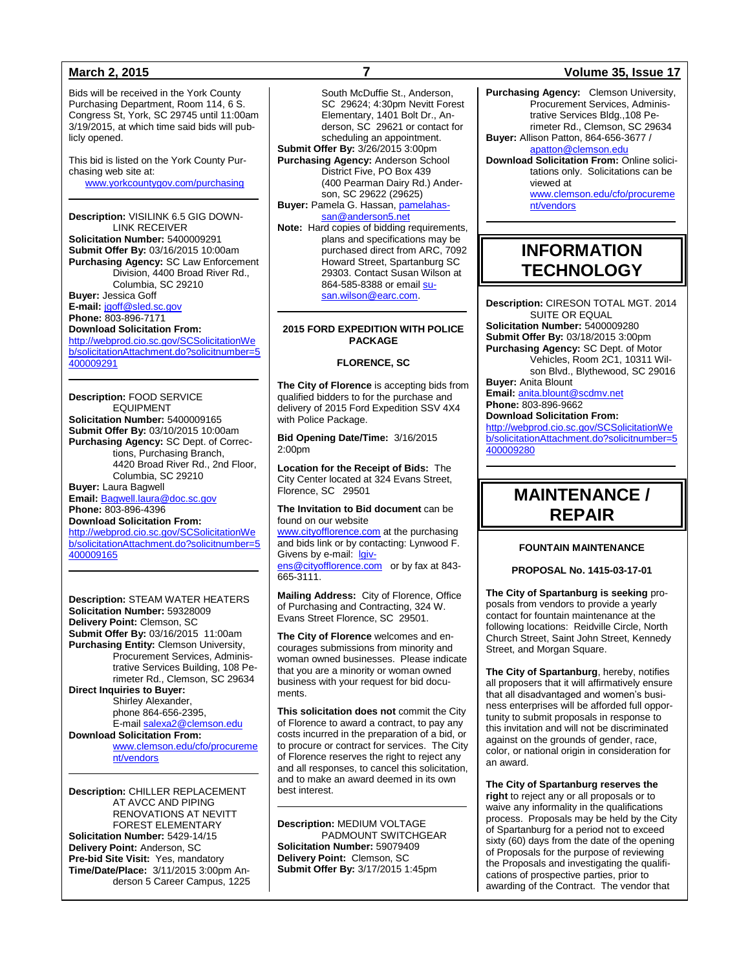Bids will be received in the York County Purchasing Department, Room 114, 6 S. Congress St, York, SC 29745 until 11:00am 3/19/2015, at which time said bids will publicly opened.

This bid is listed on the York County Purchasing web site at: [www.yorkcountygov.com/purchasing](http://www.yorkcountygov.com/purchasing)

**Description:** VISILINK 6.5 GIG DOWN-LINK RECEIVER **Solicitation Number:** 5400009291 **Submit Offer By:** 03/16/2015 10:00am **Purchasing Agency:** SC Law Enforcement Division, 4400 Broad River Rd., Columbia, SC 29210 **Buyer:** Jessica Goff **E-mail:** [jgoff@sled.sc.gov](mailto:jgoff@sled.sc.gov)

**Phone:** 803-896-7171 **Download Solicitation From:**

[http://webprod.cio.sc.gov/SCSolicitationWe](http://webprod.cio.sc.gov/SCSolicitationWeb/solicitationAttachment.do?solicitnumber=5400009291) [b/solicitationAttachment.do?solicitnumber=5](http://webprod.cio.sc.gov/SCSolicitationWeb/solicitationAttachment.do?solicitnumber=5400009291) [400009291](http://webprod.cio.sc.gov/SCSolicitationWeb/solicitationAttachment.do?solicitnumber=5400009291)

**Description:** FOOD SERVICE EQUIPMENT **Solicitation Number:** 5400009165 **Submit Offer By:** 03/10/2015 10:00am **Purchasing Agency:** SC Dept. of Corrections, Purchasing Branch, 4420 Broad River Rd., 2nd Floor, Columbia, SC 29210 **Buyer:** Laura Bagwell **Email:** [Bagwell.laura@doc.sc.gov](mailto:Bagwell.laura@doc.sc.gov) **Phone:** 803-896-4396 **Download Solicitation From:** [http://webprod.cio.sc.gov/SCSolicitationWe](http://webprod.cio.sc.gov/SCSolicitationWeb/solicitationAttachment.do?solicitnumber=5400009165) [b/solicitationAttachment.do?solicitnumber=5](http://webprod.cio.sc.gov/SCSolicitationWeb/solicitationAttachment.do?solicitnumber=5400009165)

[400009165](http://webprod.cio.sc.gov/SCSolicitationWeb/solicitationAttachment.do?solicitnumber=5400009165)

**Description:** STEAM WATER HEATERS **Solicitation Number:** 59328009 **Delivery Point:** Clemson, SC **Submit Offer By:** 03/16/2015 11:00am **Purchasing Entity:** Clemson University, Procurement Services, Administrative Services Building, 108 Perimeter Rd., Clemson, SC 29634 **Direct Inquiries to Buyer:** Shirley Alexander, phone 864-656-2395, E-mail [salexa2@clemson.edu](mailto:salexa2@clemson.edu) **Download Solicitation From:** [www.clemson.edu/cfo/procureme](http://www.clemson.edu/cfo/procurement/vendors)

[nt/vendors](http://www.clemson.edu/cfo/procurement/vendors)

**Description:** CHILLER REPLACEMENT AT AVCC AND PIPING RENOVATIONS AT NEVITT FOREST ELEMENTARY **Solicitation Number:** 5429-14/15 **Delivery Point:** Anderson, SC **Pre-bid Site Visit:** Yes, mandatory **Time/Date/Place:** 3/11/2015 3:00pm Anderson 5 Career Campus, 1225

South McDuffie St., Anderson, SC 29624: 4:30pm Nevitt Forest Elementary, 1401 Bolt Dr., Anderson, SC 29621 or contact for scheduling an appointment. **Submit Offer By:** 3/26/2015 3:00pm **Purchasing Agency:** Anderson School District Five, PO Box 439 (400 Pearman Dairy Rd.) Anderson, SC 29622 (29625) **Buyer:** Pamela G. Hassan[, pamelahas](mailto:pamelahassan@anderson5.net)[san@anderson5.net](mailto:pamelahassan@anderson5.net)

**Note:** Hard copies of bidding requirements, plans and specifications may be purchased direct from ARC, 7092 Howard Street, Spartanburg SC 29303. Contact Susan Wilson at 864-585-8388 or emai[l su](mailto:susan.wilson@earc.com)[san.wilson@earc.com.](mailto:susan.wilson@earc.com)

## **2015 FORD EXPEDITION WITH POLICE PACKAGE**

**FLORENCE, SC**

**The City of Florence** is accepting bids from qualified bidders to for the purchase and delivery of 2015 Ford Expedition SSV 4X4 with Police Package.

**Bid Opening Date/Time:** 3/16/2015 2:00pm

**Location for the Receipt of Bids:** The City Center located at 324 Evans Street, Florence, SC 29501

**The Invitation to Bid document** can be found on our website

[www.cityofflorence.com](http://www.cityofflorence.com/) at the purchasing and bids link or by contacting: Lynwood F. Givens by e-mail: [lgiv-](mailto:lgivens@cityofflorence.com)

[ens@cityofflorence.com](mailto:lgivens@cityofflorence.com) or by fax at 843-665-3111.

**Mailing Address:** City of Florence, Office of Purchasing and Contracting, 324 W. Evans Street Florence, SC 29501.

**The City of Florence** welcomes and encourages submissions from minority and woman owned businesses. Please indicate that you are a minority or woman owned business with your request for bid documents.

**This solicitation does not** commit the City of Florence to award a contract, to pay any costs incurred in the preparation of a bid, or to procure or contract for services. The City of Florence reserves the right to reject any and all responses, to cancel this solicitation, and to make an award deemed in its own best interest.

**Description:** MEDIUM VOLTAGE PADMOUNT SWITCHGEAR **Solicitation Number:** 59079409 **Delivery Point:** Clemson, SC **Submit Offer By:** 3/17/2015 1:45pm

## **March 2, 2015 7 Volume 35, Issue 17**

**Purchasing Agency:** Clemson University, Procurement Services, Administrative Services Bldg.,108 Perimeter Rd., Clemson, SC 29634 **Buyer:** Allison Patton, 864-656-3677 / [apatton@clemson.edu](mailto:apatton@clemson.edu) **Download Solicitation From:** Online solicitations only. Solicitations can be viewed at

[www.clemson.edu/cfo/procureme](http://www.clemson.edu/cfo/procurement/vendors) [nt/vendors](http://www.clemson.edu/cfo/procurement/vendors)

# **INFORMATION TECHNOLOGY**

**Description:** CIRESON TOTAL MGT. 2014 SUITE OR EQUAL **Solicitation Number:** 5400009280 **Submit Offer By:** 03/18/2015 3:00pm

**Purchasing Agency:** SC Dept. of Motor Vehicles, Room 2C1, 10311 Wilson Blvd., Blythewood, SC 29016 **Buyer:** Anita Blount

**Email:** [anita.blount@scdmv.net](mailto:anita.blount@scdmv.net) **Phone:** 803-896-9662

**Download Solicitation From:** [http://webprod.cio.sc.gov/SCSolicitationWe](http://webprod.cio.sc.gov/SCSolicitationWeb/solicitationAttachment.do?solicitnumber=5400009280) [b/solicitationAttachment.do?solicitnumber=5](http://webprod.cio.sc.gov/SCSolicitationWeb/solicitationAttachment.do?solicitnumber=5400009280)

[400009280](http://webprod.cio.sc.gov/SCSolicitationWeb/solicitationAttachment.do?solicitnumber=5400009280)

# **MAINTENANCE / REPAIR**

### **FOUNTAIN MAINTENANCE**

**PROPOSAL No. 1415-03-17-01**

**The City of Spartanburg is seeking** proposals from vendors to provide a yearly contact for fountain maintenance at the following locations: Reidville Circle, North Church Street, Saint John Street, Kennedy Street, and Morgan Square.

**The City of Spartanburg**, hereby, notifies all proposers that it will affirmatively ensure that all disadvantaged and women's business enterprises will be afforded full opportunity to submit proposals in response to this invitation and will not be discriminated against on the grounds of gender, race, color, or national origin in consideration for an award.

**The City of Spartanburg reserves the right** to reject any or all proposals or to waive any informality in the qualifications process. Proposals may be held by the City of Spartanburg for a period not to exceed sixty (60) days from the date of the opening of Proposals for the purpose of reviewing the Proposals and investigating the qualifications of prospective parties, prior to awarding of the Contract. The vendor that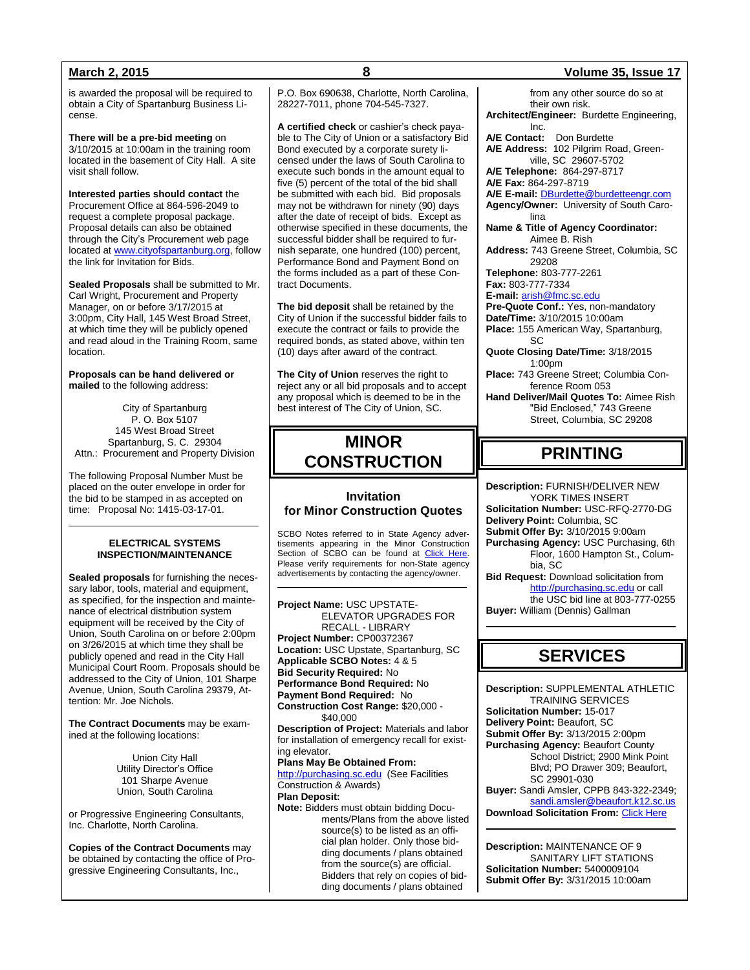is awarded the proposal will be required to obtain a City of Spartanburg Business License.

**There will be a pre-bid meeting** on 3/10/2015 at 10:00am in the training room located in the basement of City Hall. A site visit shall follow.

**Interested parties should contact** the Procurement Office at 864-596-2049 to request a complete proposal package. Proposal details can also be obtained through the City's Procurement web page located at [www.cityofspartanburg.org,](http://www.cityofspartanburg.org/) follow the link for Invitation for Bids.

**Sealed Proposals** shall be submitted to Mr. Carl Wright, Procurement and Property Manager, on or before 3/17/2015 at 3:00pm, City Hall, 145 West Broad Street, at which time they will be publicly opened and read aloud in the Training Room, same location.

**Proposals can be hand delivered or mailed** to the following address:

City of Spartanburg P. O. Box 5107 145 West Broad Street Spartanburg, S. C. 29304 Attn.: Procurement and Property Division

The following Proposal Number Must be placed on the outer envelope in order for the bid to be stamped in as accepted on time: Proposal No: 1415-03-17-01.

### **ELECTRICAL SYSTEMS INSPECTION/MAINTENANCE**

**Sealed proposals** for furnishing the necessary labor, tools, material and equipment, as specified, for the inspection and maintenance of electrical distribution system equipment will be received by the City of Union, South Carolina on or before 2:00pm on 3/26/2015 at which time they shall be publicly opened and read in the City Hall Municipal Court Room. Proposals should be addressed to the City of Union, 101 Sharpe Avenue, Union, South Carolina 29379, Attention: Mr. Joe Nichols.

**The Contract Documents** may be examined at the following locations:

> Union City Hall Utility Director's Office 101 Sharpe Avenue Union, South Carolina

or Progressive Engineering Consultants, Inc. Charlotte, North Carolina.

**Copies of the Contract Documents** may be obtained by contacting the office of Progressive Engineering Consultants, Inc.,

P.O. Box 690638, Charlotte, North Carolina, 28227-7011, phone 704-545-7327.

**A certified check** or cashier's check payable to The City of Union or a satisfactory Bid Bond executed by a corporate surety licensed under the laws of South Carolina to execute such bonds in the amount equal to five (5) percent of the total of the bid shall be submitted with each bid. Bid proposals may not be withdrawn for ninety (90) days after the date of receipt of bids. Except as otherwise specified in these documents, the successful bidder shall be required to furnish separate, one hundred (100) percent, Performance Bond and Payment Bond on the forms included as a part of these Contract Documents.

**The bid deposit** shall be retained by the City of Union if the successful bidder fails to execute the contract or fails to provide the required bonds, as stated above, within ten (10) days after award of the contract.

**The City of Union** reserves the right to reject any or all bid proposals and to accept any proposal which is deemed to be in the best interest of The City of Union, SC.

# **MINOR CONSTRUCTION**

## **Invitation for Minor Construction Quotes**

SCBO Notes referred to in State Agency advertisements appearing in the Minor Construction Section of SCBO can be found at [Click Here.](http://www.mmo.sc.gov/PS/general/scbo/SCBO_Notes_060512.pdf) Please verify requirements for non-State agency advertisements by contacting the agency/owner.

**Project Name:** USC UPSTATE-ELEVATOR UPGRADES FOR RECALL - LIBRARY **Project Number:** CP00372367 **Location:** USC Upstate, Spartanburg, SC **Applicable SCBO Notes:** 4 & 5 **Bid Security Required:** No **Performance Bond Required:** No **Payment Bond Required:** No **Construction Cost Range:** \$20,000 - \$40,000 **Description of Project:** Materials and labor for installation of emergency recall for existing elevator. **Plans May Be Obtained From:** [http://purchasing.sc.edu](http://purchasing.sc.edu/) (See Facilities Construction & Awards) **Plan Deposit: Note:** Bidders must obtain bidding Documents/Plans from the above listed source(s) to be listed as an official plan holder. Only those bidding documents / plans obtained from the source(s) are official. Bidders that rely on copies of bidding documents / plans obtained

## **March 2, 2015 8 Volume 35, Issue 17**

from any other source do so at their own risk. **Architect/Engineer:** Burdette Engineering, Inc. **A/E Contact:** Don Burdette **A/E Address:** 102 Pilgrim Road, Greenville, SC 29607-5702 **A/E Telephone:** 864-297-8717 **A/E Fax:** 864-297-8719 **A/E E-mail:** [DBurdette@burdetteengr.com](mailto:DBurdette@burdetteengr.com) **Agency/Owner:** University of South Carolina **Name & Title of Agency Coordinator:** Aimee B. Rish **Address:** 743 Greene Street, Columbia, SC 29208 **Telephone:** 803-777-2261 **Fax:** 803-777-7334 **E-mail:** [arish@fmc.sc.edu](mailto:arish@fmc.sc.edu) **Pre-Quote Conf.:** Yes, non-mandatory **Date/Time:** 3/10/2015 10:00am **Place:** 155 American Way, Spartanburg, SC **Quote Closing Date/Time:** 3/18/2015 1:00pm **Place:** 743 Greene Street; Columbia Conference Room 053 **Hand Deliver/Mail Quotes To:** Aimee Rish "Bid Enclosed," 743 Greene Street, Columbia, SC 29208 **PRINTING Description:** FURNISH/DELIVER NEW YORK TIMES INSERT **Solicitation Number:** USC-RFQ-2770-DG **Delivery Point:** Columbia, SC **Submit Offer By:** 3/10/2015 9:00am **Purchasing Agency:** USC Purchasing, 6th Floor, 1600 Hampton St., Columbia, SC **Bid Request:** Download solicitation from [http://purchasing.sc.edu](http://purchasing.sc.edu/) or call the USC bid line at 803-777-0255 **Buyer:** William (Dennis) Gallman

# **SERVICES**

**Description:** SUPPLEMENTAL ATHLETIC TRAINING SERVICES **Solicitation Number:** 15-017 **Delivery Point:** Beaufort, SC **Submit Offer By:** 3/13/2015 2:00pm **Purchasing Agency:** Beaufort County School District; 2900 Mink Point Blvd; PO Drawer 309; Beaufort, SC 29901-030 **Buyer:** Sandi Amsler, CPPB 843-322-2349; [sandi.amsler@beaufort.k12.sc.us](mailto:sandi.amsler@beaufort.k12.sc.us) **Download Solicitation From: [Click Here](http://www.beaufort.k12.sc.us/pages/BCSD/Departments/Operational_Services/Finance/Bids___Awards)** 

**Description:** MAINTENANCE OF 9 SANITARY LIFT STATIONS **Solicitation Number:** 5400009104 **Submit Offer By:** 3/31/2015 10:00am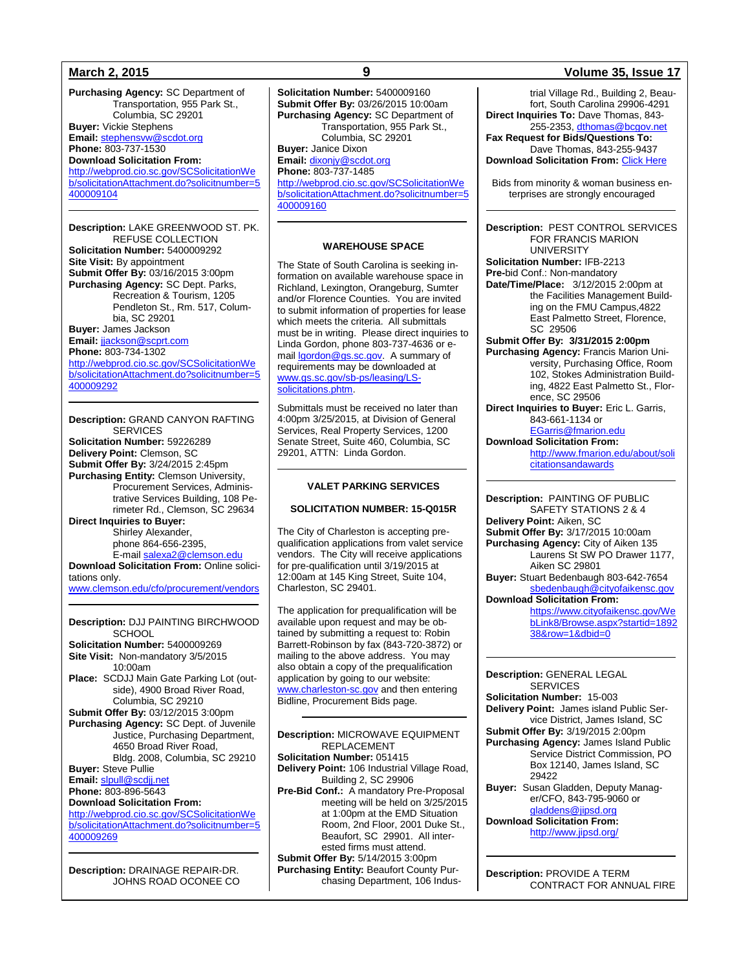**Purchasing Agency:** SC Department of Transportation, 955 Park St., Columbia, SC 29201 **Buyer:** Vickie Stephens **Email:** [stephensvw@scdot.org](mailto:stephensvw@scdot.org) **Phone:** 803-737-1530 **Download Solicitation From:** [http://webprod.cio.sc.gov/SCSolicitationWe](http://webprod.cio.sc.gov/SCSolicitationWeb/solicitationAttachment.do?solicitnumber=5400009104) [b/solicitationAttachment.do?solicitnumber=5](http://webprod.cio.sc.gov/SCSolicitationWeb/solicitationAttachment.do?solicitnumber=5400009104) [400009104](http://webprod.cio.sc.gov/SCSolicitationWeb/solicitationAttachment.do?solicitnumber=5400009104)

**Description:** LAKE GREENWOOD ST. PK. REFUSE COLLECTION **Solicitation Number:** 5400009292 **Site Visit:** By appointment **Submit Offer By:** 03/16/2015 3:00pm **Purchasing Agency:** SC Dept. Parks, Recreation & Tourism, 1205 Pendleton St., Rm. 517, Columbia, SC 29201 **Buyer:** James Jackson **Email:** [jjackson@scprt.com](mailto:jjackson@scprt.com) **Phone:** 803-734-1302 [http://webprod.cio.sc.gov/SCSolicitationWe](http://webprod.cio.sc.gov/SCSolicitationWeb/solicitationAttachment.do?solicitnumber=5400009292) [b/solicitationAttachment.do?solicitnumber=5](http://webprod.cio.sc.gov/SCSolicitationWeb/solicitationAttachment.do?solicitnumber=5400009292) [400009292](http://webprod.cio.sc.gov/SCSolicitationWeb/solicitationAttachment.do?solicitnumber=5400009292)

**Description:** GRAND CANYON RAFTING **SERVICES Solicitation Number:** 59226289 **Delivery Point:** Clemson, SC **Submit Offer By:** 3/24/2015 2:45pm **Purchasing Entity:** Clemson University, Procurement Services, Administrative Services Building, 108 Perimeter Rd., Clemson, SC 29634 **Direct Inquiries to Buyer:** Shirley Alexander, phone 864-656-2395, E-mail [salexa2@clemson.edu](mailto:salexa2@clemson.edu) **Download Solicitation From:** Online solicitations only.

[www.clemson.edu/cfo/procurement/vendors](http://www.clemson.edu/cfo/procurement/vendors)

**Description:** DJJ PAINTING BIRCHWOOD **SCHOOL Solicitation Number:** 5400009269 **Site Visit:** Non-mandatory 3/5/2015 10:00am **Place:** SCDJJ Main Gate Parking Lot (outside), 4900 Broad River Road, Columbia, SC 29210 **Submit Offer By:** 03/12/2015 3:00pm **Purchasing Agency:** SC Dept. of Juvenile Justice, Purchasing Department, 4650 Broad River Road, Bldg. 2008, Columbia, SC 29210 **Buyer:** Steve Pullie **Email:** [slpull@scdjj.net](mailto:slpull@scdjj.net) **Phone:** 803-896-5643 **Download Solicitation From:** [http://webprod.cio.sc.gov/SCSolicitationWe](http://webprod.cio.sc.gov/SCSolicitationWeb/solicitationAttachment.do?solicitnumber=5400009269)

[b/solicitationAttachment.do?solicitnumber=5](http://webprod.cio.sc.gov/SCSolicitationWeb/solicitationAttachment.do?solicitnumber=5400009269) [400009269](http://webprod.cio.sc.gov/SCSolicitationWeb/solicitationAttachment.do?solicitnumber=5400009269)

**Description:** DRAINAGE REPAIR-DR. JOHNS ROAD OCONEE CO **Solicitation Number:** 5400009160 **Submit Offer By:** 03/26/2015 10:00am **Purchasing Agency:** SC Department of Transportation, 955 Park St., Columbia, SC 29201 **Buyer:** Janice Dixon **Email:** [dixonjy@scdot.org](mailto:dixonjy@scdot.org) **Phone:** 803-737-1485 [http://webprod.cio.sc.gov/SCSolicitationWe](http://webprod.cio.sc.gov/SCSolicitationWeb/solicitationAttachment.do?solicitnumber=5400009160) [b/solicitationAttachment.do?solicitnumber=5](http://webprod.cio.sc.gov/SCSolicitationWeb/solicitationAttachment.do?solicitnumber=5400009160) [400009160](http://webprod.cio.sc.gov/SCSolicitationWeb/solicitationAttachment.do?solicitnumber=5400009160)

### **WAREHOUSE SPACE**

The State of South Carolina is seeking information on available warehouse space in Richland, Lexington, Orangeburg, Sumter and/or Florence Counties. You are invited to submit information of properties for lease which meets the criteria. All submittals must be in writing. Please direct inquiries to Linda Gordon, phone 803-737-4636 or emai[l lgordon@gs.sc.gov.](mailto:lgordon@gs.sc.gov) A summary of requirements may be downloaded at [www.gs.sc.gov/sb-ps/leasing/LS](http://www.gs.sc.gov/sb-ps/leasing/LS-solicitations.phtm)[solicitations.phtm.](http://www.gs.sc.gov/sb-ps/leasing/LS-solicitations.phtm)

Submittals must be received no later than 4:00pm 3/25/2015, at Division of General Services, Real Property Services, 1200 Senate Street, Suite 460, Columbia, SC 29201, ATTN: Linda Gordon.

### **VALET PARKING SERVICES**

#### **SOLICITATION NUMBER: 15-Q015R**

The City of Charleston is accepting prequalification applications from valet service vendors. The City will receive applications for pre-qualification until 3/19/2015 at 12:00am at 145 King Street, Suite 104, Charleston, SC 29401.

The application for prequalification will be available upon request and may be obtained by submitting a request to: Robin Barrett-Robinson by fax (843-720-3872) or mailing to the above address. You may also obtain a copy of the prequalification application by going to our website: [www.charleston-sc.gov](http://www.charleston-sc.gov/) and then entering Bidline, Procurement Bids page.

**Description:** MICROWAVE EQUIPMENT REPLACEMENT **Solicitation Number:** 051415 **Delivery Point:** 106 Industrial Village Road, Building 2, SC 29906 **Pre-Bid Conf.:** A mandatory Pre-Proposal meeting will be held on 3/25/2015 at 1:00pm at the EMD Situation Room, 2nd Floor, 2001 Duke St., Beaufort, SC 29901. All interested firms must attend. **Submit Offer By:** 5/14/2015 3:00pm **Purchasing Entity:** Beaufort County Purchasing Department, 106 Indus-

### **March 2, 2015 9 Volume 35, Issue 17**

trial Village Rd., Building 2, Beaufort, South Carolina 29906-4291 **Direct Inquiries To:** Dave Thomas, 843- 255-2353, [dthomas@bcgov.net](mailto:dthomas@bcgov.net) **Fax Request for Bids/Questions To:** Dave Thomas, 843-255-9437 **Download Solicitation From: [Click Here](http://www.co.beaufort.sc.us/departments/Finance/purchasing/current-bids-pop.php)** 

Bids from minority & woman business enterprises are strongly encouraged

**Description:** PEST CONTROL SERVICES FOR FRANCIS MARION UNIVERSITY

**Solicitation Number:** IFB-2213

**Pre-**bid Conf.: Non-mandatory

**Date/Time/Place:** 3/12/2015 2:00pm at the Facilities Management Building on the FMU Campus,4822 East Palmetto Street, Florence, SC 29506

**Submit Offer By: 3/31/2015 2:00pm Purchasing Agency:** Francis Marion University, Purchasing Office, Room 102, Stokes Administration Building, 4822 East Palmetto St., Florence, SC 29506 **Direct Inquiries to Buyer:** Eric L. Garris,

843-661-1134 or [EGarris@fmarion.edu](mailto:EGarris@fmarion.edu)

**Download Solicitation From:** [http://www.fmarion.edu/about/soli](http://www.fmarion.edu/about/solicitationsandawards)

**[citationsandawards](http://www.fmarion.edu/about/solicitationsandawards)** 

**Description:** PAINTING OF PUBLIC SAFETY STATIONS 2 & 4 **Delivery Point:** Aiken, SC **Submit Offer By:** 3/17/2015 10:00am **Purchasing Agency:** City of Aiken 135 Laurens St SW PO Drawer 1177, Aiken SC 29801 **Buyer:** Stuart Bedenbaugh 803-642-7654 [sbedenbaugh@cityofaikensc.gov](mailto:sbedenbaugh@cityofaikensc.gov) **Download Solicitation From:** [https://www.cityofaikensc.gov/We](https://www.cityofaikensc.gov/WebLink8/Browse.aspx?startid=189238&row=1&dbid=0) [bLink8/Browse.aspx?startid=1892](https://www.cityofaikensc.gov/WebLink8/Browse.aspx?startid=189238&row=1&dbid=0) [38&row=1&dbid=0](https://www.cityofaikensc.gov/WebLink8/Browse.aspx?startid=189238&row=1&dbid=0) 

**Description:** GENERAL LEGAL **SERVICES Solicitation Number:** 15-003 **Delivery Point:** James island Public Service District, James Island, SC **Submit Offer By:** 3/19/2015 2:00pm **Purchasing Agency:** James Island Public Service District Commission, PO Box 12140, James Island, SC 29422 **Buyer:** Susan Gladden, Deputy Manager/CFO, 843-795-9060 or [gladdens@jipsd.org](mailto:gladdens@jipsd.org) **Download Solicitation From:** <http://www.jipsd.org/>

**Description:** PROVIDE A TERM CONTRACT FOR ANNUAL FIRE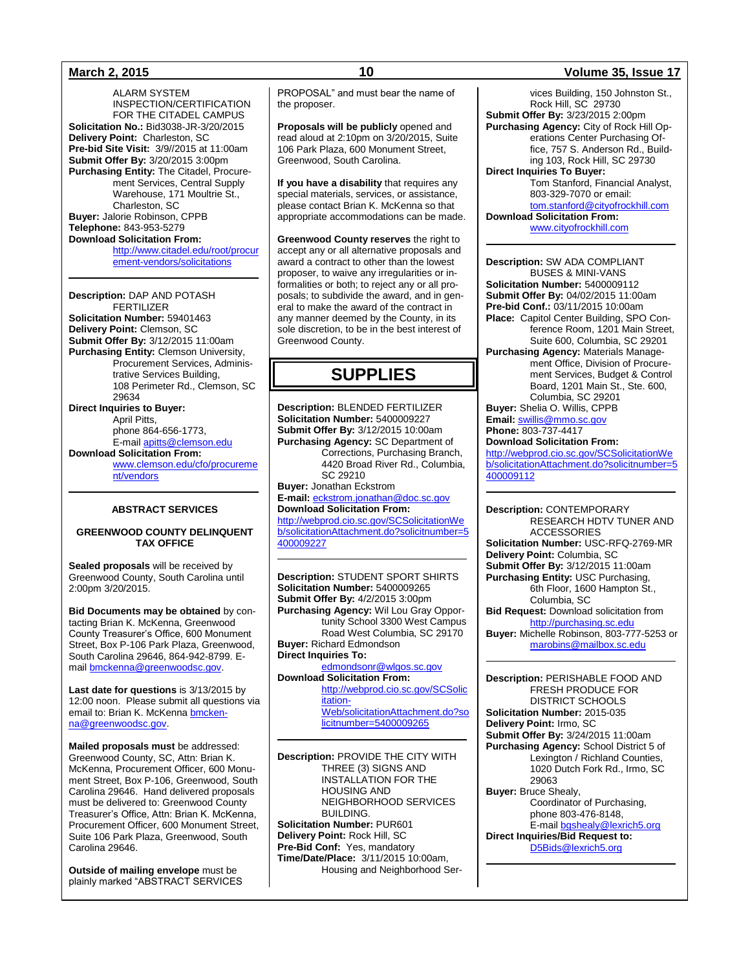ALARM SYSTEM INSPECTION/CERTIFICATION FOR THE CITADEL CAMPUS **Solicitation No.:** Bid3038-JR-3/20/2015 **Delivery Point:** Charleston, SC **Pre-bid Site Visit:** 3/9//2015 at 11:00am **Submit Offer By:** 3/20/2015 3:00pm Purchasing Entity: The Citadel, Procurement Services, Central Supply Warehouse, 171 Moultrie St., Charleston, SC **Buyer:** Jalorie Robinson, CPPB **Telephone:** 843-953-5279 **Download Solicitation From:** 

> [http://www.citadel.edu/root/procur](http://www.citadel.edu/root/procurement-vendors/solicitations) [ement-vendors/solicitations](http://www.citadel.edu/root/procurement-vendors/solicitations)

**Description:** DAP AND POTASH FERTILIZER **Solicitation Number:** 59401463 **Delivery Point:** Clemson, SC **Submit Offer By:** 3/12/2015 11:00am **Purchasing Entity:** Clemson University, Procurement Services, Administrative Services Building, 108 Perimeter Rd., Clemson, SC 29634 **Direct Inquiries to Buyer:** April Pitts, phone 864-656-1773, E-mail [apitts@clemson.edu](mailto:apitts@clemson.edu) **Download Solicitation From:** [www.clemson.edu/cfo/procureme](http://www.clemson.edu/cfo/procurement/vendors) [nt/vendors](http://www.clemson.edu/cfo/procurement/vendors)

### **ABSTRACT SERVICES**

### **GREENWOOD COUNTY DELINQUENT TAX OFFICE**

**Sealed proposals** will be received by Greenwood County, South Carolina until 2:00pm 3/20/2015.

**Bid Documents may be obtained** by contacting Brian K. McKenna, Greenwood County Treasurer's Office, 600 Monument Street, Box P-106 Park Plaza, Greenwood, South Carolina 29646, 864-942-8799. Email [bmckenna@greenwoodsc.gov.](mailto:bmckenna@greenwoodsc.gov)

**Last date for questions** is 3/13/2015 by 12:00 noon. Please submit all questions via email to: Brian K. McKenn[a bmcken](mailto:bmckenna@greenwoodsc.gov)[na@greenwoodsc.gov.](mailto:bmckenna@greenwoodsc.gov)

**Mailed proposals must** be addressed: Greenwood County, SC, Attn: Brian K. McKenna, Procurement Officer, 600 Monument Street, Box P-106, Greenwood, South Carolina 29646. Hand delivered proposals must be delivered to: Greenwood County Treasurer's Office, Attn: Brian K. McKenna, Procurement Officer, 600 Monument Street, Suite 106 Park Plaza, Greenwood, South Carolina 29646.

**Outside of mailing envelope** must be plainly marked "ABSTRACT SERVICES PROPOSAL" and must bear the name of the proposer.

**Proposals will be publicly** opened and read aloud at 2:10pm on 3/20/2015, Suite 106 Park Plaza, 600 Monument Street, Greenwood, South Carolina.

**If you have a disability** that requires any special materials, services, or assistance, please contact Brian K. McKenna so that appropriate accommodations can be made.

**Greenwood County reserves** the right to accept any or all alternative proposals and award a contract to other than the lowest proposer, to waive any irregularities or informalities or both; to reject any or all proposals; to subdivide the award, and in general to make the award of the contract in any manner deemed by the County, in its sole discretion, to be in the best interest of Greenwood County.

# **SUPPLIES**

**Description:** BLENDED FERTILIZER **Solicitation Number:** 5400009227 **Submit Offer By:** 3/12/2015 10:00am **Purchasing Agency:** SC Department of Corrections, Purchasing Branch, 4420 Broad River Rd., Columbia, SC 29210 **Buyer:** Jonathan Eckstrom **E-mail:** [eckstrom.jonathan@doc.sc.gov](mailto:eckstrom.jonathan@doc.sc.gov) **Download Solicitation From:** [http://webprod.cio.sc.gov/SCSolicitationWe](http://webprod.cio.sc.gov/SCSolicitationWeb/solicitationAttachment.do?solicitnumber=5400009227) [b/solicitationAttachment.do?solicitnumber=5](http://webprod.cio.sc.gov/SCSolicitationWeb/solicitationAttachment.do?solicitnumber=5400009227)

[400009227](http://webprod.cio.sc.gov/SCSolicitationWeb/solicitationAttachment.do?solicitnumber=5400009227)

**Description:** STUDENT SPORT SHIRTS **Solicitation Number:** 5400009265 **Submit Offer By:** 4/2/2015 3:00pm **Purchasing Agency:** Wil Lou Gray Opportunity School 3300 West Campus Road West Columbia, SC 29170 **Buyer:** Richard Edmondson **Direct Inquiries To:** [edmondsonr@wlgos.sc.gov](mailto:edmondsonr@wlgos.sc.gov)

**Download Solicitation From:** [http://webprod.cio.sc.gov/SCSolic](http://webprod.cio.sc.gov/SCSolicitationWeb/solicitationAttachment.do?solicitnumber=5400009265) [itation-](http://webprod.cio.sc.gov/SCSolicitationWeb/solicitationAttachment.do?solicitnumber=5400009265)[Web/solicitationAttachment.do?so](http://webprod.cio.sc.gov/SCSolicitationWeb/solicitationAttachment.do?solicitnumber=5400009265) [licitnumber=5400009265](http://webprod.cio.sc.gov/SCSolicitationWeb/solicitationAttachment.do?solicitnumber=5400009265)

**Description:** PROVIDE THE CITY WITH THREE (3) SIGNS AND INSTALLATION FOR THE HOUSING AND NEIGHBORHOOD SERVICES BUILDING. **Solicitation Number:** PUR601 **Delivery Point:** Rock Hill, SC **Pre-Bid Conf:** Yes, mandatory **Time/Date/Place:** 3/11/2015 10:00am, Housing and Neighborhood Ser-

### **March 2, 2015 10 Volume 35, Issue 17**

vices Building, 150 Johnston St., Rock Hill, SC 29730 **Submit Offer By:** 3/23/2015 2:00pm **Purchasing Agency:** City of Rock Hill Operations Center Purchasing Office, 757 S. Anderson Rd., Building 103, Rock Hill, SC 29730 **Direct Inquiries To Buyer:** Tom Stanford, Financial Analyst, 803-329-7070 or email: [tom.stanford@cityofrockhill.com](mailto:tom.stanford@cityofrockhill.com) **Download Solicitation From:** [www.cityofrockhill.com](http://www.cityofrockhill.com/)

**Description:** SW ADA COMPLIANT BUSES & MINI-VANS **Solicitation Number:** 5400009112 **Submit Offer By:** 04/02/2015 11:00am **Pre-bid Conf.:** 03/11/2015 10:00am **Place:** Capitol Center Building, SPO Conference Room, 1201 Main Street, Suite 600, Columbia, SC 29201 **Purchasing Agency:** Materials Management Office, Division of Procurement Services, Budget & Control Board, 1201 Main St., Ste. 600, Columbia, SC 29201 **Buyer:** Shelia O. Willis, CPPB **Email:** [swillis@mmo.sc.gov](mailto:swillis@mmo.sc.gov) **Phone:** 803-737-4417

**Download Solicitation From:**

[http://webprod.cio.sc.gov/SCSolicitationWe](http://webprod.cio.sc.gov/SCSolicitationWeb/solicitationAttachment.do?solicitnumber=5400009112) [b/solicitationAttachment.do?solicitnumber=5](http://webprod.cio.sc.gov/SCSolicitationWeb/solicitationAttachment.do?solicitnumber=5400009112) [400009112](http://webprod.cio.sc.gov/SCSolicitationWeb/solicitationAttachment.do?solicitnumber=5400009112)

**Description:** CONTEMPORARY RESEARCH HDTV TUNER AND **ACCESSORIES Solicitation Number:** USC-RFQ-2769-MR **Delivery Point:** Columbia, SC **Submit Offer By:** 3/12/2015 11:00am **Purchasing Entity:** USC Purchasing, 6th Floor, 1600 Hampton St., Columbia, SC **Bid Request:** Download solicitation from [http://purchasing.sc.edu](http://purchasing.sc.edu/) **Buyer:** Michelle Robinson, 803-777-5253 or [marobins@mailbox.sc.edu](mailto:marobins@mailbox.sc.edu)

**Description:** PERISHABLE FOOD AND FRESH PRODUCE FOR DISTRICT SCHOOLS **Solicitation Number:** 2015-035 **Delivery Point:** Irmo, SC **Submit Offer By:** 3/24/2015 11:00am **Purchasing Agency:** School District 5 of Lexington / Richland Counties, 1020 Dutch Fork Rd., Irmo, SC 29063 **Buyer:** Bruce Shealy, Coordinator of Purchasing, phone 803-476-8148, E-mai[l bgshealy@lexrich5.org](mailto:bgshealy@lexrich5.org) **Direct Inquiries/Bid Request to:** 

[D5Bids@lexrich5.org](mailto:D5Bids@lexrich5.org)